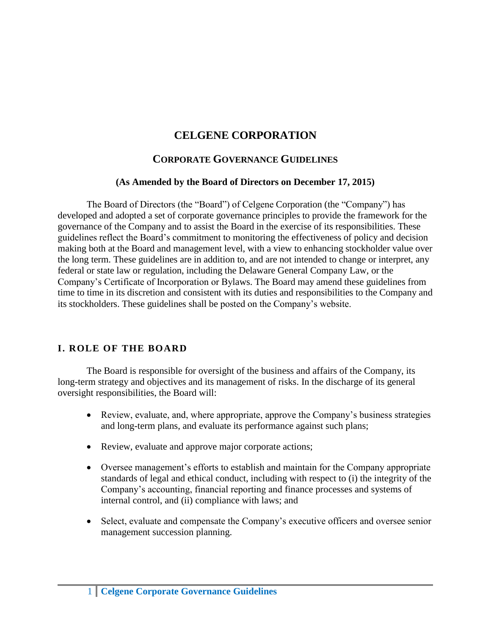### **CELGENE CORPORATION**

#### **CORPORATE GOVERNANCE GUIDELINES**

#### **(As Amended by the Board of Directors on December 17, 2015)**

The Board of Directors (the "Board") of Celgene Corporation (the "Company") has developed and adopted a set of corporate governance principles to provide the framework for the governance of the Company and to assist the Board in the exercise of its responsibilities. These guidelines reflect the Board's commitment to monitoring the effectiveness of policy and decision making both at the Board and management level, with a view to enhancing stockholder value over the long term. These guidelines are in addition to, and are not intended to change or interpret, any federal or state law or regulation, including the Delaware General Company Law, or the Company's Certificate of Incorporation or Bylaws. The Board may amend these guidelines from time to time in its discretion and consistent with its duties and responsibilities to the Company and its stockholders. These guidelines shall be posted on the Company's website.

#### **I. ROLE OF THE BOARD**

The Board is responsible for oversight of the business and affairs of the Company, its long-term strategy and objectives and its management of risks. In the discharge of its general oversight responsibilities, the Board will:

- Review, evaluate, and, where appropriate, approve the Company's business strategies and long-term plans, and evaluate its performance against such plans;
- Review, evaluate and approve major corporate actions;
- Oversee management's efforts to establish and maintain for the Company appropriate standards of legal and ethical conduct, including with respect to (i) the integrity of the Company's accounting, financial reporting and finance processes and systems of internal control, and (ii) compliance with laws; and
- Select, evaluate and compensate the Company's executive officers and oversee senior management succession planning.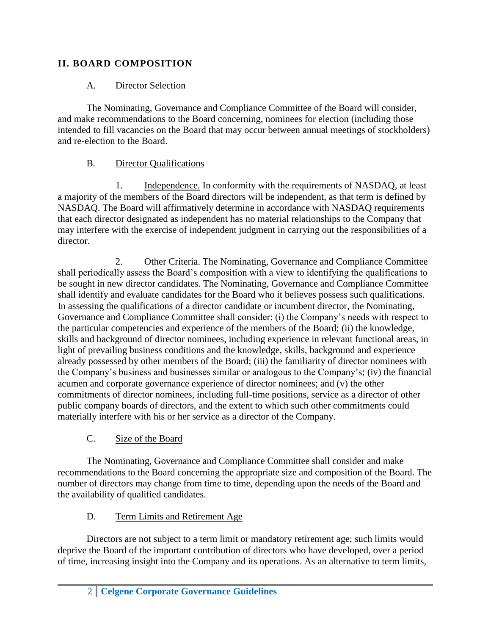### **II. BOARD COMPOSITION**

### A. Director Selection

The Nominating, Governance and Compliance Committee of the Board will consider, and make recommendations to the Board concerning, nominees for election (including those intended to fill vacancies on the Board that may occur between annual meetings of stockholders) and re-election to the Board.

# B. Director Qualifications

1. Independence. In conformity with the requirements of NASDAQ, at least a majority of the members of the Board directors will be independent, as that term is defined by NASDAQ. The Board will affirmatively determine in accordance with NASDAQ requirements that each director designated as independent has no material relationships to the Company that may interfere with the exercise of independent judgment in carrying out the responsibilities of a director.

2. Other Criteria. The Nominating, Governance and Compliance Committee shall periodically assess the Board's composition with a view to identifying the qualifications to be sought in new director candidates. The Nominating, Governance and Compliance Committee shall identify and evaluate candidates for the Board who it believes possess such qualifications. In assessing the qualifications of a director candidate or incumbent director, the Nominating, Governance and Compliance Committee shall consider: (i) the Company's needs with respect to the particular competencies and experience of the members of the Board; (ii) the knowledge, skills and background of director nominees, including experience in relevant functional areas, in light of prevailing business conditions and the knowledge, skills, background and experience already possessed by other members of the Board; (iii) the familiarity of director nominees with the Company's business and businesses similar or analogous to the Company's; (iv) the financial acumen and corporate governance experience of director nominees; and (v) the other commitments of director nominees, including full-time positions, service as a director of other public company boards of directors, and the extent to which such other commitments could materially interfere with his or her service as a director of the Company.

# C. Size of the Board

The Nominating, Governance and Compliance Committee shall consider and make recommendations to the Board concerning the appropriate size and composition of the Board. The number of directors may change from time to time, depending upon the needs of the Board and the availability of qualified candidates.

# D. Term Limits and Retirement Age

Directors are not subject to a term limit or mandatory retirement age; such limits would deprive the Board of the important contribution of directors who have developed, over a period of time, increasing insight into the Company and its operations. As an alternative to term limits,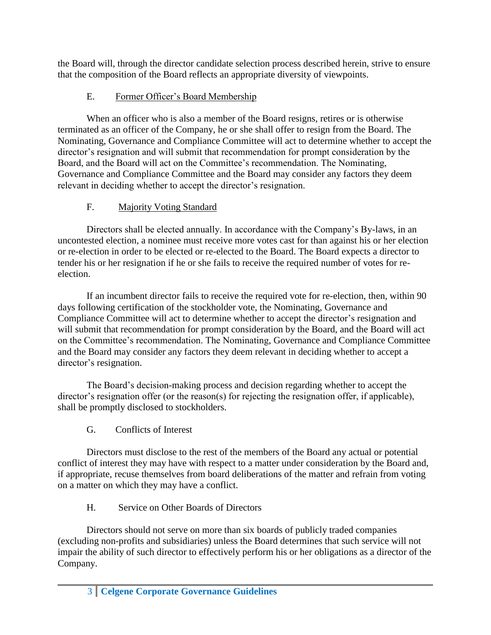the Board will, through the director candidate selection process described herein, strive to ensure that the composition of the Board reflects an appropriate diversity of viewpoints.

### E. Former Officer's Board Membership

When an officer who is also a member of the Board resigns, retires or is otherwise terminated as an officer of the Company, he or she shall offer to resign from the Board. The Nominating, Governance and Compliance Committee will act to determine whether to accept the director's resignation and will submit that recommendation for prompt consideration by the Board, and the Board will act on the Committee's recommendation. The Nominating, Governance and Compliance Committee and the Board may consider any factors they deem relevant in deciding whether to accept the director's resignation.

# F. Majority Voting Standard

Directors shall be elected annually. In accordance with the Company's By-laws, in an uncontested election, a nominee must receive more votes cast for than against his or her election or re-election in order to be elected or re-elected to the Board. The Board expects a director to tender his or her resignation if he or she fails to receive the required number of votes for reelection.

If an incumbent director fails to receive the required vote for re-election, then, within 90 days following certification of the stockholder vote, the Nominating, Governance and Compliance Committee will act to determine whether to accept the director's resignation and will submit that recommendation for prompt consideration by the Board, and the Board will act on the Committee's recommendation. The Nominating, Governance and Compliance Committee and the Board may consider any factors they deem relevant in deciding whether to accept a director's resignation.

The Board's decision-making process and decision regarding whether to accept the director's resignation offer (or the reason(s) for rejecting the resignation offer, if applicable), shall be promptly disclosed to stockholders.

G. Conflicts of Interest

Directors must disclose to the rest of the members of the Board any actual or potential conflict of interest they may have with respect to a matter under consideration by the Board and, if appropriate, recuse themselves from board deliberations of the matter and refrain from voting on a matter on which they may have a conflict.

H. Service on Other Boards of Directors

Directors should not serve on more than six boards of publicly traded companies (excluding non-profits and subsidiaries) unless the Board determines that such service will not impair the ability of such director to effectively perform his or her obligations as a director of the Company.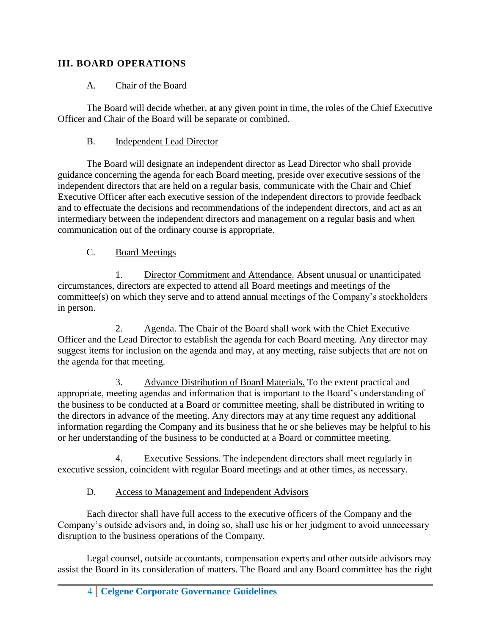### **III. BOARD OPERATIONS**

#### A. Chair of the Board

The Board will decide whether, at any given point in time, the roles of the Chief Executive Officer and Chair of the Board will be separate or combined.

#### B. Independent Lead Director

The Board will designate an independent director as Lead Director who shall provide guidance concerning the agenda for each Board meeting, preside over executive sessions of the independent directors that are held on a regular basis, communicate with the Chair and Chief Executive Officer after each executive session of the independent directors to provide feedback and to effectuate the decisions and recommendations of the independent directors, and act as an intermediary between the independent directors and management on a regular basis and when communication out of the ordinary course is appropriate.

#### C. Board Meetings

1. Director Commitment and Attendance. Absent unusual or unanticipated circumstances, directors are expected to attend all Board meetings and meetings of the committee(s) on which they serve and to attend annual meetings of the Company's stockholders in person.

2. Agenda. The Chair of the Board shall work with the Chief Executive Officer and the Lead Director to establish the agenda for each Board meeting. Any director may suggest items for inclusion on the agenda and may, at any meeting, raise subjects that are not on the agenda for that meeting.

3. Advance Distribution of Board Materials. To the extent practical and appropriate, meeting agendas and information that is important to the Board's understanding of the business to be conducted at a Board or committee meeting, shall be distributed in writing to the directors in advance of the meeting. Any directors may at any time request any additional information regarding the Company and its business that he or she believes may be helpful to his or her understanding of the business to be conducted at a Board or committee meeting.

4. Executive Sessions. The independent directors shall meet regularly in executive session, coincident with regular Board meetings and at other times, as necessary.

### D. Access to Management and Independent Advisors

Each director shall have full access to the executive officers of the Company and the Company's outside advisors and, in doing so, shall use his or her judgment to avoid unnecessary disruption to the business operations of the Company.

Legal counsel, outside accountants, compensation experts and other outside advisors may assist the Board in its consideration of matters. The Board and any Board committee has the right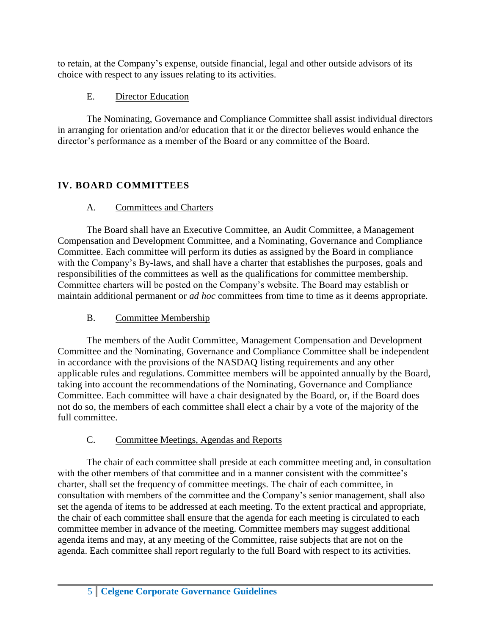to retain, at the Company's expense, outside financial, legal and other outside advisors of its choice with respect to any issues relating to its activities.

### E. Director Education

The Nominating, Governance and Compliance Committee shall assist individual directors in arranging for orientation and/or education that it or the director believes would enhance the director's performance as a member of the Board or any committee of the Board.

# **IV. BOARD COMMITTEES**

# A. Committees and Charters

The Board shall have an Executive Committee, an Audit Committee, a Management Compensation and Development Committee, and a Nominating, Governance and Compliance Committee. Each committee will perform its duties as assigned by the Board in compliance with the Company's By-laws, and shall have a charter that establishes the purposes, goals and responsibilities of the committees as well as the qualifications for committee membership. Committee charters will be posted on the Company's website. The Board may establish or maintain additional permanent or *ad hoc* committees from time to time as it deems appropriate.

# B. Committee Membership

The members of the Audit Committee, Management Compensation and Development Committee and the Nominating, Governance and Compliance Committee shall be independent in accordance with the provisions of the NASDAQ listing requirements and any other applicable rules and regulations. Committee members will be appointed annually by the Board, taking into account the recommendations of the Nominating, Governance and Compliance Committee. Each committee will have a chair designated by the Board, or, if the Board does not do so, the members of each committee shall elect a chair by a vote of the majority of the full committee.

# C. Committee Meetings, Agendas and Reports

The chair of each committee shall preside at each committee meeting and, in consultation with the other members of that committee and in a manner consistent with the committee's charter, shall set the frequency of committee meetings. The chair of each committee, in consultation with members of the committee and the Company's senior management, shall also set the agenda of items to be addressed at each meeting. To the extent practical and appropriate, the chair of each committee shall ensure that the agenda for each meeting is circulated to each committee member in advance of the meeting. Committee members may suggest additional agenda items and may, at any meeting of the Committee, raise subjects that are not on the agenda. Each committee shall report regularly to the full Board with respect to its activities.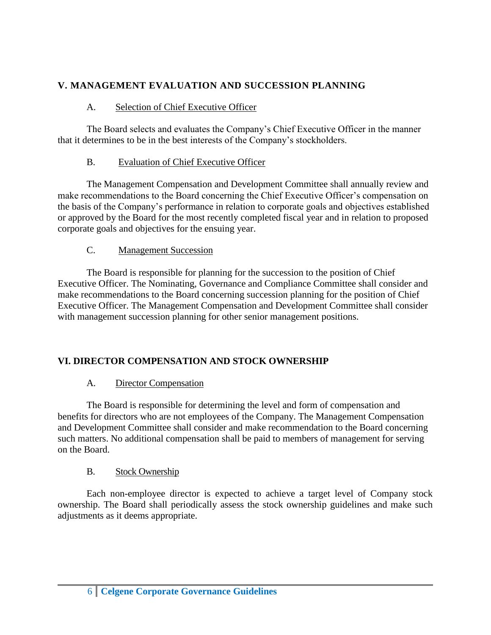### **V. MANAGEMENT EVALUATION AND SUCCESSION PLANNING**

### A. Selection of Chief Executive Officer

The Board selects and evaluates the Company's Chief Executive Officer in the manner that it determines to be in the best interests of the Company's stockholders.

### B. Evaluation of Chief Executive Officer

The Management Compensation and Development Committee shall annually review and make recommendations to the Board concerning the Chief Executive Officer's compensation on the basis of the Company's performance in relation to corporate goals and objectives established or approved by the Board for the most recently completed fiscal year and in relation to proposed corporate goals and objectives for the ensuing year.

# C. Management Succession

The Board is responsible for planning for the succession to the position of Chief Executive Officer. The Nominating, Governance and Compliance Committee shall consider and make recommendations to the Board concerning succession planning for the position of Chief Executive Officer. The Management Compensation and Development Committee shall consider with management succession planning for other senior management positions.

# **VI. DIRECTOR COMPENSATION AND STOCK OWNERSHIP**

# A. Director Compensation

The Board is responsible for determining the level and form of compensation and benefits for directors who are not employees of the Company. The Management Compensation and Development Committee shall consider and make recommendation to the Board concerning such matters. No additional compensation shall be paid to members of management for serving on the Board.

# B. Stock Ownership

Each non-employee director is expected to achieve a target level of Company stock ownership. The Board shall periodically assess the stock ownership guidelines and make such adjustments as it deems appropriate.